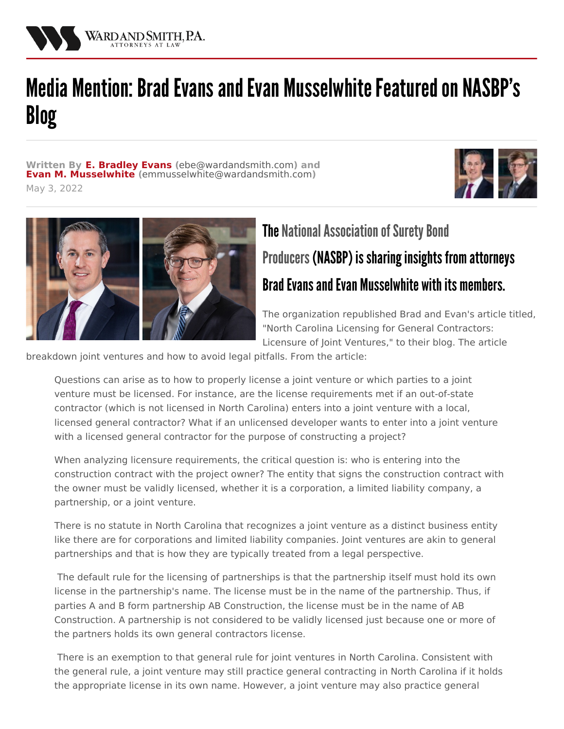

## Media Mention: Brad Evans and Evan Musselwhite Featured on NASBP's Blog

**Written By E. [Bradley](/attorneys/bradley-evans) Evans (**[ebe@wardandsmith.com](mailto:ebe@wardandsmith.com)**) and Evan M. [Musselwhite](/attorneys/evan-musselwhite) (**[emmusselwhite@wardandsmith.com](mailto:emmusselwhite@wardandsmith.com)**)** May 3, 2022





## **The National Association of Surety Bond** Producers (NASBP) is sharing insights from attorneys Brad Evans and Evan Musselwhite with its members.

The organization republished Brad and Evan's article titled, "North Carolina Licensing for General Contractors: Licensure of Joint Ventures," to their blog. The article

breakdown joint ventures and how to avoid legal pitfalls. From the article:

Questions can arise as to how to properly license a joint venture or which parties to a joint venture must be licensed. For instance, are the license requirements met if an out-of-state contractor (which is not licensed in North Carolina) enters into a joint venture with a local, licensed general contractor? What if an unlicensed developer wants to enter into a joint venture with a licensed general contractor for the purpose of constructing a project?

When analyzing licensure requirements, the critical question is: who is entering into the construction contract with the project owner? The entity that signs the construction contract with the owner must be validly licensed, whether it is a corporation, a limited liability company, a partnership, or a joint venture.

There is no statute in North Carolina that recognizes a joint venture as a distinct business entity like there are for corporations and limited liability companies. Joint ventures are akin to general partnerships and that is how they are typically treated from a legal perspective.

The default rule for the licensing of partnerships is that the partnership itself must hold its own license in the partnership's name. The license must be in the name of the partnership. Thus, if parties A and B form partnership AB Construction, the license must be in the name of AB Construction. A partnership is not considered to be validly licensed just because one or more of the partners holds its own general contractors license.

There is an exemption to that general rule for joint ventures in North Carolina. Consistent with the general rule, a joint venture may still practice general contracting in North Carolina if it holds the appropriate license in its own name. However, a joint venture may also practice general